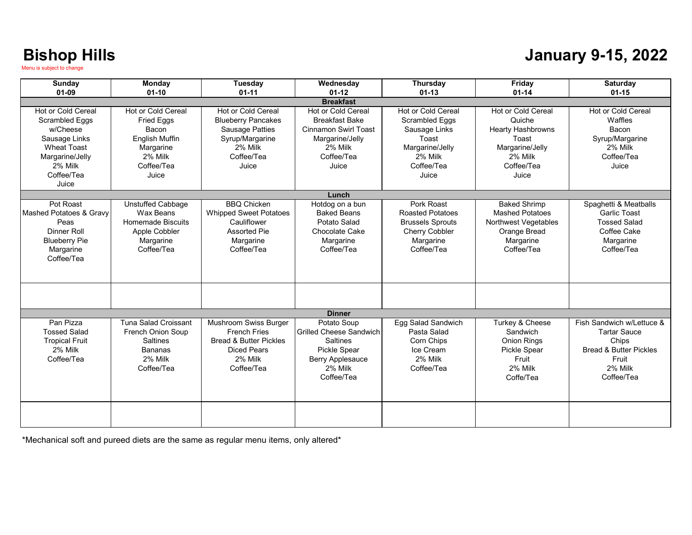#### **January 9-15, 2022**

| <b>Sunday</b><br>$01 - 09$                                                                                                                          | <b>Monday</b><br>$01 - 10$                                                                                        | <b>Tuesday</b><br>$01 - 11$                                                                                                      | Wednesday<br>$01 - 12$                                                                                                                      | Thursday<br>$01 - 13$                                                                                                             | Friday<br>$01 - 14$                                                                                                           | Saturday<br>$01 - 15$                                                                                                            |  |  |
|-----------------------------------------------------------------------------------------------------------------------------------------------------|-------------------------------------------------------------------------------------------------------------------|----------------------------------------------------------------------------------------------------------------------------------|---------------------------------------------------------------------------------------------------------------------------------------------|-----------------------------------------------------------------------------------------------------------------------------------|-------------------------------------------------------------------------------------------------------------------------------|----------------------------------------------------------------------------------------------------------------------------------|--|--|
| <b>Breakfast</b>                                                                                                                                    |                                                                                                                   |                                                                                                                                  |                                                                                                                                             |                                                                                                                                   |                                                                                                                               |                                                                                                                                  |  |  |
| Hot or Cold Cereal<br><b>Scrambled Eggs</b><br>w/Cheese<br>Sausage Links<br><b>Wheat Toast</b><br>Margarine/Jelly<br>2% Milk<br>Coffee/Tea<br>Juice | Hot or Cold Cereal<br><b>Fried Eggs</b><br>Bacon<br>English Muffin<br>Margarine<br>2% Milk<br>Coffee/Tea<br>Juice | <b>Hot or Cold Cereal</b><br><b>Blueberry Pancakes</b><br>Sausage Patties<br>Syrup/Margarine<br>2% Milk<br>Coffee/Tea<br>Juice   | Hot or Cold Cereal<br><b>Breakfast Bake</b><br><b>Cinnamon Swirl Toast</b><br>Margarine/Jelly<br>2% Milk<br>Coffee/Tea<br>Juice             | <b>Hot or Cold Cereal</b><br><b>Scrambled Eggs</b><br>Sausage Links<br>Toast<br>Margarine/Jelly<br>2% Milk<br>Coffee/Tea<br>Juice | <b>Hot or Cold Cereal</b><br>Quiche<br><b>Hearty Hashbrowns</b><br>Toast<br>Margarine/Jelly<br>2% Milk<br>Coffee/Tea<br>Juice | Hot or Cold Cereal<br>Waffles<br>Bacon<br>Syrup/Margarine<br>2% Milk<br>Coffee/Tea<br>Juice                                      |  |  |
|                                                                                                                                                     |                                                                                                                   |                                                                                                                                  | Lunch                                                                                                                                       |                                                                                                                                   |                                                                                                                               |                                                                                                                                  |  |  |
| Pot Roast<br>Mashed Potatoes & Gravy<br>Peas<br>Dinner Roll<br><b>Blueberry Pie</b><br>Margarine<br>Coffee/Tea                                      | <b>Unstuffed Cabbage</b><br>Wax Beans<br>Homemade Biscuits<br>Apple Cobbler<br>Margarine<br>Coffee/Tea            | <b>BBO Chicken</b><br><b>Whipped Sweet Potatoes</b><br>Cauliflower<br><b>Assorted Pie</b><br>Margarine<br>Coffee/Tea             | Hotdog on a bun<br><b>Baked Beans</b><br>Potato Salad<br>Chocolate Cake<br>Margarine<br>Coffee/Tea                                          | Pork Roast<br><b>Roasted Potatoes</b><br><b>Brussels Sprouts</b><br><b>Cherry Cobbler</b><br>Margarine<br>Coffee/Tea              | <b>Baked Shrimp</b><br><b>Mashed Potatoes</b><br><b>Northwest Vegetables</b><br>Orange Bread<br>Margarine<br>Coffee/Tea       | Spaghetti & Meatballs<br><b>Garlic Toast</b><br><b>Tossed Salad</b><br>Coffee Cake<br>Margarine<br>Coffee/Tea                    |  |  |
|                                                                                                                                                     |                                                                                                                   |                                                                                                                                  | <b>Dinner</b>                                                                                                                               |                                                                                                                                   |                                                                                                                               |                                                                                                                                  |  |  |
| Pan Pizza<br><b>Tossed Salad</b><br><b>Tropical Fruit</b><br>2% Milk<br>Coffee/Tea                                                                  | Tuna Salad Croissant<br><b>French Onion Soup</b><br><b>Saltines</b><br><b>Bananas</b><br>2% Milk<br>Coffee/Tea    | Mushroom Swiss Burger<br><b>French Fries</b><br><b>Bread &amp; Butter Pickles</b><br><b>Diced Pears</b><br>2% Milk<br>Coffee/Tea | Potato Soup<br><b>Grilled Cheese Sandwich</b><br><b>Saltines</b><br><b>Pickle Spear</b><br><b>Berry Applesauce</b><br>2% Milk<br>Coffee/Tea | Egg Salad Sandwich<br>Pasta Salad<br>Corn Chips<br>Ice Cream<br>2% Milk<br>Coffee/Tea                                             | Turkey & Cheese<br>Sandwich<br><b>Onion Rings</b><br>Pickle Spear<br>Fruit<br>2% Milk<br>Coffe/Tea                            | Fish Sandwich w/Lettuce &<br><b>Tartar Sauce</b><br>Chips<br><b>Bread &amp; Butter Pickles</b><br>Fruit<br>2% Milk<br>Coffee/Tea |  |  |
|                                                                                                                                                     |                                                                                                                   |                                                                                                                                  |                                                                                                                                             |                                                                                                                                   |                                                                                                                               |                                                                                                                                  |  |  |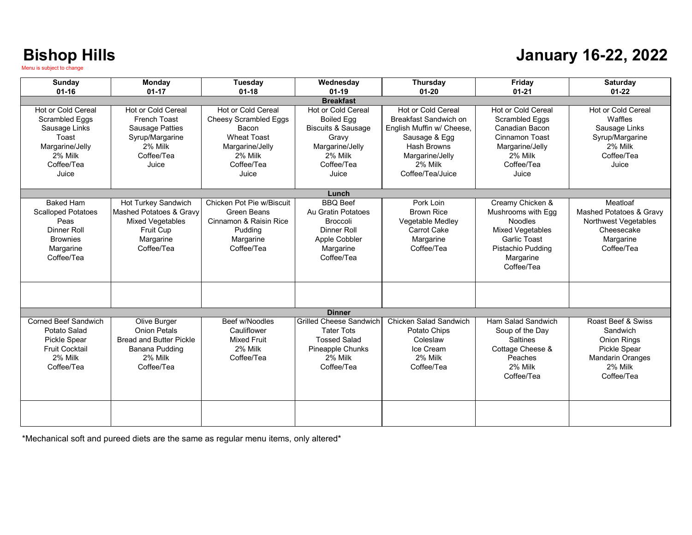#### **January 16-22, 2022**

| Sunday                                                                                                                     | Monday                                                                                                                          | Tuesday                                                                                                                                       | Wednesday                                                                                                                              | Thursday                                                                                                                                                                 | Friday                                                                                                                                                     | <b>Saturday</b>                                                                                                                 |  |
|----------------------------------------------------------------------------------------------------------------------------|---------------------------------------------------------------------------------------------------------------------------------|-----------------------------------------------------------------------------------------------------------------------------------------------|----------------------------------------------------------------------------------------------------------------------------------------|--------------------------------------------------------------------------------------------------------------------------------------------------------------------------|------------------------------------------------------------------------------------------------------------------------------------------------------------|---------------------------------------------------------------------------------------------------------------------------------|--|
| $01 - 16$                                                                                                                  | $01 - 17$                                                                                                                       | $01 - 18$                                                                                                                                     | $01 - 19$                                                                                                                              | $01 - 20$                                                                                                                                                                | $01 - 21$                                                                                                                                                  | $01-22$                                                                                                                         |  |
| <b>Breakfast</b>                                                                                                           |                                                                                                                                 |                                                                                                                                               |                                                                                                                                        |                                                                                                                                                                          |                                                                                                                                                            |                                                                                                                                 |  |
| Hot or Cold Cereal<br><b>Scrambled Eggs</b><br>Sausage Links<br>Toast<br>Margarine/Jelly<br>2% Milk<br>Coffee/Tea<br>Juice | <b>Hot or Cold Cereal</b><br><b>French Toast</b><br><b>Sausage Patties</b><br>Syrup/Margarine<br>2% Milk<br>Coffee/Tea<br>Juice | <b>Hot or Cold Cereal</b><br><b>Cheesy Scrambled Eggs</b><br>Bacon<br><b>Wheat Toast</b><br>Margarine/Jelly<br>2% Milk<br>Coffee/Tea<br>Juice | Hot or Cold Cereal<br><b>Boiled Egg</b><br><b>Biscuits &amp; Sausage</b><br>Gravv<br>Margarine/Jelly<br>2% Milk<br>Coffee/Tea<br>Juice | <b>Hot or Cold Cereal</b><br>Breakfast Sandwich on<br>English Muffin w/ Cheese.<br>Sausage & Egg<br><b>Hash Browns</b><br>Margarine/Jelly<br>2% Milk<br>Coffee/Tea/Juice | Hot or Cold Cereal<br><b>Scrambled Eggs</b><br>Canadian Bacon<br><b>Cinnamon Toast</b><br>Margarine/Jelly<br>2% Milk<br>Coffee/Tea<br>Juice                | <b>Hot or Cold Cereal</b><br>Waffles<br>Sausage Links<br>Syrup/Margarine<br>2% Milk<br>Coffee/Tea<br>Juice                      |  |
|                                                                                                                            |                                                                                                                                 |                                                                                                                                               | Lunch                                                                                                                                  |                                                                                                                                                                          |                                                                                                                                                            |                                                                                                                                 |  |
| <b>Baked Ham</b><br><b>Scalloped Potatoes</b><br>Peas<br><b>Dinner Roll</b><br><b>Brownies</b><br>Margarine<br>Coffee/Tea  | Hot Turkey Sandwich<br>Mashed Potatoes & Gravy<br><b>Mixed Vegetables</b><br>Fruit Cup<br>Margarine<br>Coffee/Tea               | Chicken Pot Pie w/Biscuit<br><b>Green Beans</b><br>Cinnamon & Raisin Rice<br>Pudding<br>Margarine<br>Coffee/Tea                               | <b>BBO</b> Beef<br>Au Gratin Potatoes<br><b>Broccoli</b><br>Dinner Roll<br>Apple Cobbler<br>Margarine<br>Coffee/Tea                    | Pork Loin<br><b>Brown Rice</b><br>Vegetable Medley<br><b>Carrot Cake</b><br>Margarine<br>Coffee/Tea                                                                      | Creamy Chicken &<br>Mushrooms with Egg<br><b>Noodles</b><br><b>Mixed Vegetables</b><br><b>Garlic Toast</b><br>Pistachio Pudding<br>Margarine<br>Coffee/Tea | Meatloaf<br>Mashed Potatoes & Gravy<br><b>Northwest Vegetables</b><br>Cheesecake<br>Margarine<br>Coffee/Tea                     |  |
|                                                                                                                            |                                                                                                                                 |                                                                                                                                               |                                                                                                                                        |                                                                                                                                                                          |                                                                                                                                                            |                                                                                                                                 |  |
|                                                                                                                            |                                                                                                                                 |                                                                                                                                               | <b>Dinner</b>                                                                                                                          |                                                                                                                                                                          |                                                                                                                                                            |                                                                                                                                 |  |
| Corned Beef Sandwich<br>Potato Salad<br><b>Pickle Spear</b><br><b>Fruit Cocktail</b><br>2% Milk<br>Coffee/Tea              | Olive Burger<br><b>Onion Petals</b><br><b>Bread and Butter Pickle</b><br>Banana Pudding<br>2% Milk<br>Coffee/Tea                | Beef w/Noodles<br>Cauliflower<br><b>Mixed Fruit</b><br>2% Milk<br>Coffee/Tea                                                                  | <b>Grilled Cheese Sandwich</b><br><b>Tater Tots</b><br><b>Tossed Salad</b><br>Pineapple Chunks<br>2% Milk<br>Coffee/Tea                | Chicken Salad Sandwich<br>Potato Chips<br>Coleslaw<br>Ice Cream<br>2% Milk<br>Coffee/Tea                                                                                 | Ham Salad Sandwich<br>Soup of the Dav<br><b>Saltines</b><br>Cottage Cheese &<br>Peaches<br>2% Milk<br>Coffee/Tea                                           | Roast Beef & Swiss<br>Sandwich<br><b>Onion Rings</b><br><b>Pickle Spear</b><br><b>Mandarin Oranges</b><br>2% Milk<br>Coffee/Tea |  |
|                                                                                                                            |                                                                                                                                 |                                                                                                                                               |                                                                                                                                        |                                                                                                                                                                          |                                                                                                                                                            |                                                                                                                                 |  |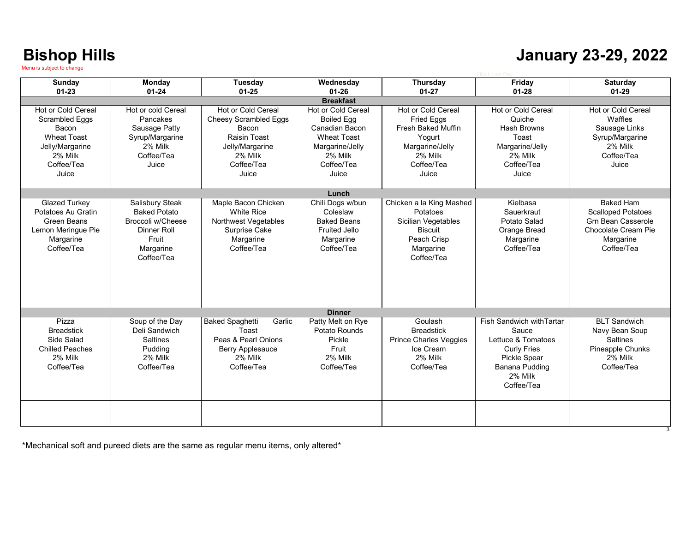#### **January 23-29, 2022**

| Sunday                 | <b>Monday</b>       | Tuesday                          | Wednesday            | Thursday                  | Friday                    | <b>Saturday</b>            |
|------------------------|---------------------|----------------------------------|----------------------|---------------------------|---------------------------|----------------------------|
| $01 - 23$              | $01 - 24$           | $01 - 25$                        | $01 - 26$            | $01 - 27$                 | $01 - 28$                 | $01 - 29$                  |
|                        |                     |                                  | <b>Breakfast</b>     |                           |                           |                            |
| Hot or Cold Cereal     | Hot or cold Cereal  | Hot or Cold Cereal               | Hot or Cold Cereal   | <b>Hot or Cold Cereal</b> | <b>Hot or Cold Cereal</b> | Hot or Cold Cereal         |
| Scrambled Eggs         | Pancakes            | <b>Cheesy Scrambled Eggs</b>     | <b>Boiled Egg</b>    | <b>Fried Eggs</b>         | Quiche                    | Waffles                    |
| Bacon                  | Sausage Patty       | Bacon                            | Canadian Bacon       | <b>Fresh Baked Muffin</b> | Hash Browns               | Sausage Links              |
| <b>Wheat Toast</b>     | Syrup/Margarine     | Raisin Toast                     | <b>Wheat Toast</b>   | Yogurt                    | Toast                     | Syrup/Margarine            |
| Jelly/Margarine        | 2% Milk             | Jelly/Margarine                  | Margarine/Jelly      | Margarine/Jelly           | Margarine/Jelly           | 2% Milk                    |
| 2% Milk                | Coffee/Tea          | 2% Milk                          | 2% Milk              | 2% Milk                   | 2% Milk                   | Coffee/Tea                 |
| Coffee/Tea             | Juice               | Coffee/Tea                       | Coffee/Tea           | Coffee/Tea                | Coffee/Tea                | Juice                      |
| Juice                  |                     | Juice                            | Juice                | Juice                     | Juice                     |                            |
|                        |                     |                                  |                      |                           |                           |                            |
|                        |                     |                                  | Lunch                |                           |                           |                            |
| Glazed Turkey          | Salisbury Steak     | Maple Bacon Chicken              | Chili Dogs w/bun     | Chicken a la King Mashed  | Kielbasa                  | <b>Baked Ham</b>           |
| Potatoes Au Gratin     | <b>Baked Potato</b> | <b>White Rice</b>                | Coleslaw             | Potatoes                  | Sauerkraut                | <b>Scalloped Potatoes</b>  |
| Green Beans            | Broccoli w/Cheese   | Northwest Vegetables             | <b>Baked Beans</b>   | Sicilian Vegetables       | Potato Salad              | <b>Grn Bean Casserole</b>  |
| Lemon Meringue Pie     | Dinner Roll         | Surprise Cake                    | <b>Fruited Jello</b> | Biscuit                   | Orange Bread              | <b>Chocolate Cream Pie</b> |
| Margarine              | Fruit               | Margarine                        | Margarine            | Peach Crisp               | Margarine                 | Margarine                  |
| Coffee/Tea             | Margarine           | Coffee/Tea                       | Coffee/Tea           | Margarine                 | Coffee/Tea                | Coffee/Tea                 |
|                        | Coffee/Tea          |                                  |                      | Coffee/Tea                |                           |                            |
|                        |                     |                                  |                      |                           |                           |                            |
|                        |                     |                                  |                      |                           |                           |                            |
|                        |                     |                                  |                      |                           |                           |                            |
|                        |                     |                                  |                      |                           |                           |                            |
|                        |                     |                                  |                      |                           |                           |                            |
|                        |                     |                                  | <b>Dinner</b>        |                           |                           |                            |
| Pizza                  | Soup of the Day     | <b>Baked Spaghetti</b><br>Garlic | Patty Melt on Rye    | Goulash                   | Fish Sandwich with Tartar | <b>BLT Sandwich</b>        |
| <b>Breadstick</b>      | Deli Sandwich       | Toast                            | Potato Rounds        | <b>Breadstick</b>         | Sauce                     | Navy Bean Soup             |
| Side Salad             | <b>Saltines</b>     | Peas & Pearl Onions              | Pickle               | Prince Charles Veggies    | Lettuce & Tomatoes        | <b>Saltines</b>            |
| <b>Chilled Peaches</b> | Pudding             | Berry Applesauce                 | Fruit                | Ice Cream                 | <b>Curly Fries</b>        | Pineapple Chunks           |
| 2% Milk                | 2% Milk             | 2% Milk                          | 2% Milk              | 2% Milk                   | Pickle Spear              | 2% Milk                    |
| Coffee/Tea             | Coffee/Tea          | Coffee/Tea                       | Coffee/Tea           | Coffee/Tea                | <b>Banana Pudding</b>     | Coffee/Tea                 |
|                        |                     |                                  |                      |                           | 2% Milk                   |                            |
|                        |                     |                                  |                      |                           | Coffee/Tea                |                            |
|                        |                     |                                  |                      |                           |                           |                            |
|                        |                     |                                  |                      |                           |                           |                            |
|                        |                     |                                  |                      |                           |                           |                            |
|                        |                     |                                  |                      |                           |                           |                            |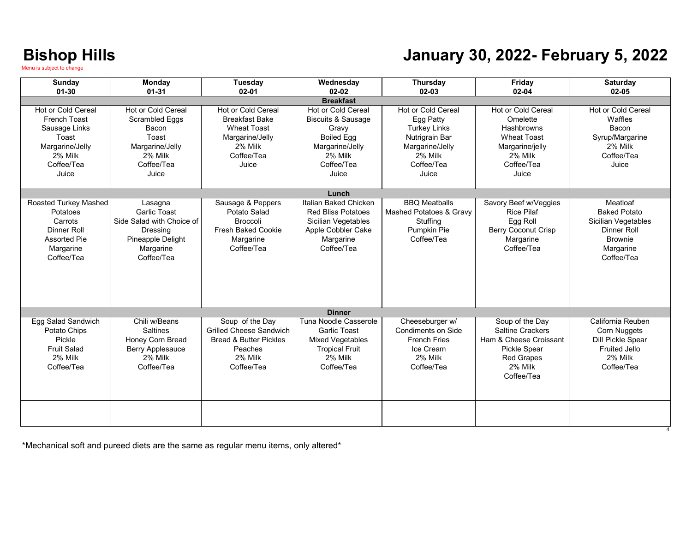#### **January 30, 2022- February 5, 2022**

| Sunday<br>$01 - 30$                                                                                                             | Monday<br>$01 - 31$                                                                                                       | Tuesday<br>$02 - 01$                                                                                                       | Wednesday<br>$02 - 02$                                                                                                                 | <b>Thursday</b><br>$02 - 03$                                                                                                                | Friday<br>$02 - 04$                                                                                                                       | <b>Saturday</b><br>$02 - 05$                                                                                       |
|---------------------------------------------------------------------------------------------------------------------------------|---------------------------------------------------------------------------------------------------------------------------|----------------------------------------------------------------------------------------------------------------------------|----------------------------------------------------------------------------------------------------------------------------------------|---------------------------------------------------------------------------------------------------------------------------------------------|-------------------------------------------------------------------------------------------------------------------------------------------|--------------------------------------------------------------------------------------------------------------------|
|                                                                                                                                 |                                                                                                                           |                                                                                                                            | <b>Breakfast</b>                                                                                                                       |                                                                                                                                             |                                                                                                                                           |                                                                                                                    |
| <b>Hot or Cold Cereal</b><br><b>French Toast</b><br>Sausage Links<br>Toast<br>Margarine/Jelly<br>2% Milk<br>Coffee/Tea<br>Juice | <b>Hot or Cold Cereal</b><br><b>Scrambled Eggs</b><br>Bacon<br>Toast<br>Margarine/Jelly<br>2% Milk<br>Coffee/Tea<br>Juice | Hot or Cold Cereal<br><b>Breakfast Bake</b><br><b>Wheat Toast</b><br>Margarine/Jelly<br>2% Milk<br>Coffee/Tea<br>Juice     | Hot or Cold Cereal<br><b>Biscuits &amp; Sausage</b><br>Gravy<br><b>Boiled Egg</b><br>Margarine/Jelly<br>2% Milk<br>Coffee/Tea<br>Juice | <b>Hot or Cold Cereal</b><br>Egg Patty<br><b>Turkey Links</b><br>Nutrigrain Bar<br>Margarine/Jelly<br>2% Milk<br>Coffee/Tea<br><b>Juice</b> | Hot or Cold Cereal<br>Omelette<br>Hashbrowns<br><b>Wheat Toast</b><br>Margarine/jelly<br>2% Milk<br>Coffee/Tea<br>Juice.                  | Hot or Cold Cereal<br>Waffles<br>Bacon<br>Syrup/Margarine<br>2% Milk<br>Coffee/Tea<br>Juice                        |
|                                                                                                                                 |                                                                                                                           |                                                                                                                            | Lunch                                                                                                                                  |                                                                                                                                             |                                                                                                                                           |                                                                                                                    |
| <b>Roasted Turkey Mashed</b><br>Potatoes<br>Carrots<br>Dinner Roll<br><b>Assorted Pie</b><br>Margarine<br>Coffee/Tea            | Lasagna<br><b>Garlic Toast</b><br>Side Salad with Choice of<br>Dressing<br>Pineapple Delight<br>Margarine<br>Coffee/Tea   | Sausage & Peppers<br>Potato Salad<br><b>Broccoli</b><br><b>Fresh Baked Cookie</b><br>Margarine<br>Coffee/Tea               | Italian Baked Chicken<br><b>Red Bliss Potatoes</b><br>Sicilian Vegetables<br>Apple Cobbler Cake<br>Margarine<br>Coffee/Tea             | <b>BBO</b> Meatballs<br>Mashed Potatoes & Gravy<br>Stuffing<br>Pumpkin Pie<br>Coffee/Tea                                                    | Savory Beef w/Veggies<br><b>Rice Pilaf</b><br>Egg Roll<br><b>Berry Coconut Crisp</b><br>Margarine<br>Coffee/Tea                           | Meatloaf<br><b>Baked Potato</b><br>Sicilian Vegetables<br>Dinner Roll<br><b>Brownie</b><br>Margarine<br>Coffee/Tea |
|                                                                                                                                 |                                                                                                                           |                                                                                                                            |                                                                                                                                        |                                                                                                                                             |                                                                                                                                           |                                                                                                                    |
|                                                                                                                                 |                                                                                                                           |                                                                                                                            | <b>Dinner</b>                                                                                                                          |                                                                                                                                             |                                                                                                                                           |                                                                                                                    |
| Egg Salad Sandwich<br>Potato Chips<br>Pickle<br><b>Fruit Salad</b><br>2% Milk<br>Coffee/Tea                                     | Chili w/Beans<br><b>Saltines</b><br>Honey Corn Bread<br>Berry Applesauce<br>2% Milk<br>Coffee/Tea                         | Soup of the Day<br><b>Grilled Cheese Sandwich</b><br><b>Bread &amp; Butter Pickles</b><br>Peaches<br>2% Milk<br>Coffee/Tea | Tuna Noodle Casserole<br><b>Garlic Toast</b><br>Mixed Vegetables<br><b>Tropical Fruit</b><br>2% Milk<br>Coffee/Tea                     | Cheeseburger w/<br><b>Condiments on Side</b><br><b>French Fries</b><br>Ice Cream<br>2% Milk<br>Coffee/Tea                                   | Soup of the Day<br><b>Saltine Crackers</b><br>Ham & Cheese Croissant<br><b>Pickle Spear</b><br><b>Red Grapes</b><br>2% Milk<br>Coffee/Tea | California Reuben<br>Corn Nuggets<br>Dill Pickle Spear<br><b>Fruited Jello</b><br>2% Milk<br>Coffee/Tea            |
|                                                                                                                                 |                                                                                                                           |                                                                                                                            |                                                                                                                                        |                                                                                                                                             |                                                                                                                                           |                                                                                                                    |